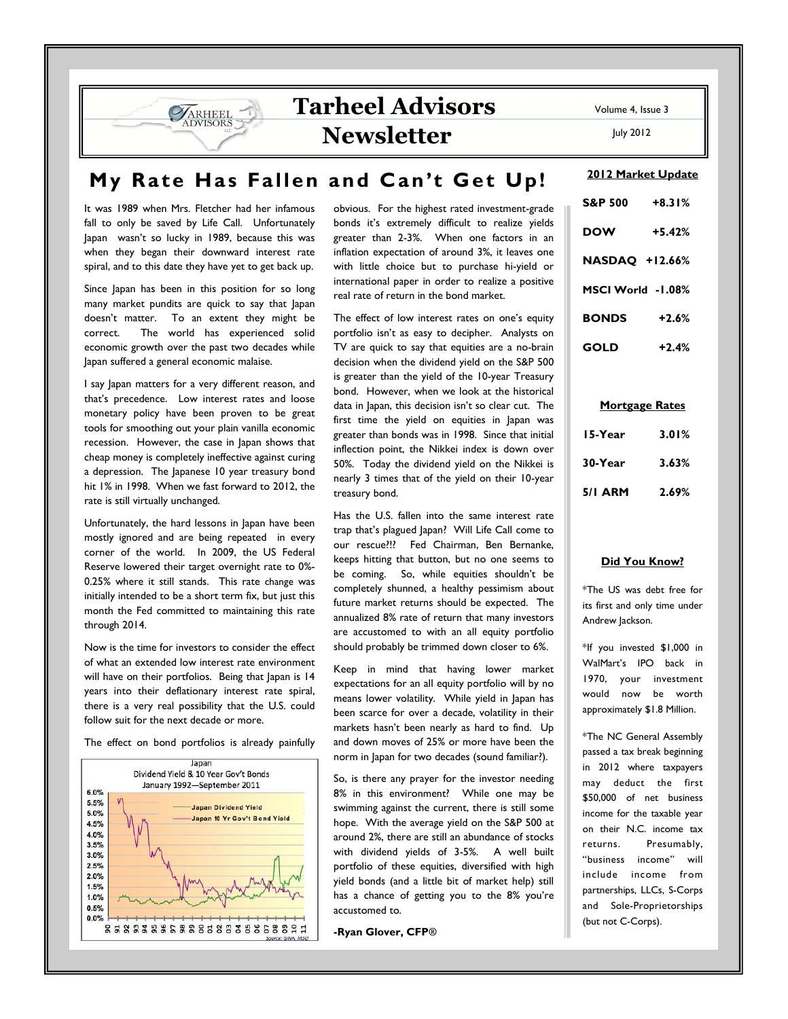## Tarheel Advisors Newsletter

July 2012

# My Rate Has Fallen and Can't Get Up!

It was 1989 when Mrs. Fletcher had her infamous fall to only be saved by Life Call. Unfortunately Japan wasn't so lucky in 1989, because this was when they began their downward interest rate spiral, and to this date they have yet to get back up.

**VARHEEL DVISORS** 

Since Japan has been in this position for so long many market pundits are quick to say that Japan doesn't matter. To an extent they might be correct. The world has experienced solid economic growth over the past two decades while Japan suffered a general economic malaise.

I say Japan matters for a very different reason, and that's precedence. Low interest rates and loose monetary policy have been proven to be great tools for smoothing out your plain vanilla economic recession. However, the case in Japan shows that cheap money is completely ineffective against curing a depression. The Japanese 10 year treasury bond hit 1% in 1998. When we fast forward to 2012, the rate is still virtually unchanged.

Unfortunately, the hard lessons in Japan have been mostly ignored and are being repeated in every corner of the world. In 2009, the US Federal Reserve lowered their target overnight rate to 0%- 0.25% where it still stands. This rate change was initially intended to be a short term fix, but just this month the Fed committed to maintaining this rate through 2014.

Now is the time for investors to consider the effect of what an extended low interest rate environment will have on their portfolios. Being that Japan is 14 years into their deflationary interest rate spiral, there is a very real possibility that the U.S. could follow suit for the next decade or more.

The effect on bond portfolios is already painfully



obvious. For the highest rated investment-grade bonds it's extremely difficult to realize yields greater than 2-3%. When one factors in an inflation expectation of around 3%, it leaves one with little choice but to purchase hi-yield or international paper in order to realize a positive real rate of return in the bond market.

The effect of low interest rates on one's equity portfolio isn't as easy to decipher. Analysts on TV are quick to say that equities are a no-brain decision when the dividend yield on the S&P 500 is greater than the yield of the 10-year Treasury bond. However, when we look at the historical data in Japan, this decision isn't so clear cut. The first time the yield on equities in Japan was greater than bonds was in 1998. Since that initial inflection point, the Nikkei index is down over 50%. Today the dividend yield on the Nikkei is nearly 3 times that of the yield on their 10-year treasury bond.

Has the U.S. fallen into the same interest rate trap that's plagued Japan? Will Life Call come to our rescue?!? Fed Chairman, Ben Bernanke, keeps hitting that button, but no one seems to be coming. So, while equities shouldn't be completely shunned, a healthy pessimism about future market returns should be expected. The annualized 8% rate of return that many investors are accustomed to with an all equity portfolio should probably be trimmed down closer to 6%.

Keep in mind that having lower market expectations for an all equity portfolio will by no means lower volatility. While yield in Japan has been scarce for over a decade, volatility in their markets hasn't been nearly as hard to find. Up and down moves of 25% or more have been the norm in Japan for two decades (sound familiar?).

So, is there any prayer for the investor needing 8% in this environment? While one may be swimming against the current, there is still some hope. With the average yield on the S&P 500 at around 2%, there are still an abundance of stocks with dividend yields of 3-5%. A well built portfolio of these equities, diversified with high yield bonds (and a little bit of market help) still has a chance of getting you to the 8% you're accustomed to.

-Ryan Glover, CFP**®**

#### 2012 Market Update

| <b>S&amp;P 500</b>    | $+8.31%$ |
|-----------------------|----------|
| <b>DOW</b>            | $+5.42%$ |
| <b>NASDAQ +12.66%</b> |          |
| MSCI World -1.08%     |          |
| <b>BONDS</b>          | $+2.6%$  |
| GOLD                  | $+2.4%$  |

#### Mortgage Rates

| 15-Year | 3.01% |
|---------|-------|
| 30-Year | 3.63% |
| 5/I ARM | 2.69% |

#### Did You Know?

\*The US was debt free for its first and only time under Andrew Jackson.

\*If you invested \$1,000 in WalMart's IPO back in 1970, your investment would now be worth approximately \$1.8 Million.

\*The NC General Assembly passed a tax break beginning in 2012 where taxpayers may deduct the first \$50,000 of net business income for the taxable year on their N.C. income tax returns. Presumably, "business income" will include income from partnerships, LLCs, S-Corps and Sole-Proprietorships (but not C-Corps).